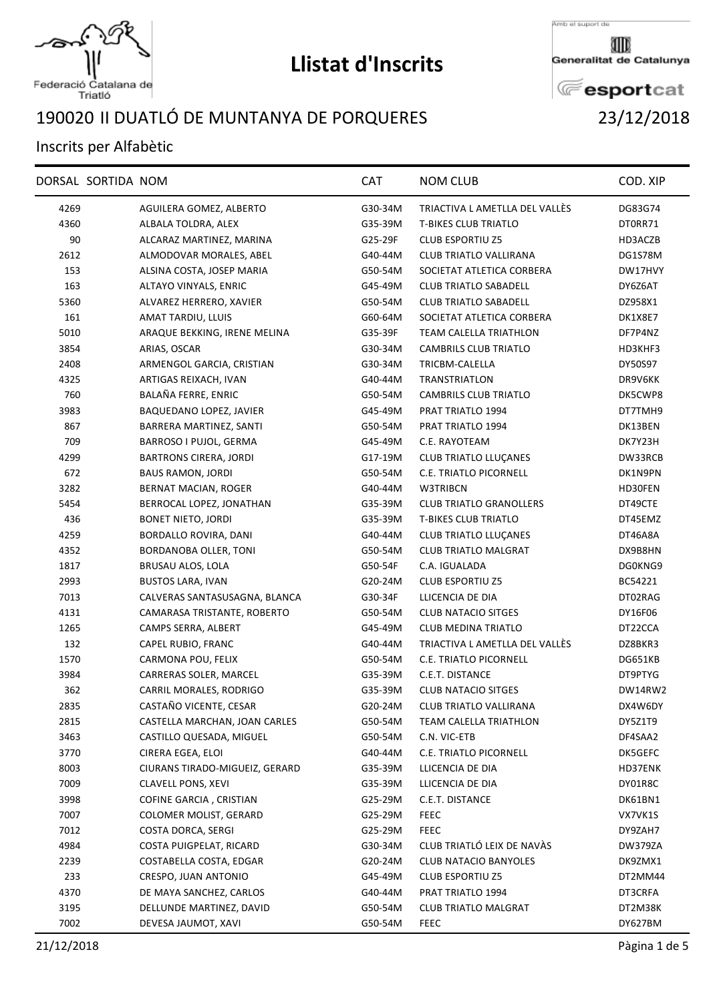

Federació Catalana de<br>Triatló

## II DUATLÓ DE MUNTANYA DE PORQUERES 23/12/2018

## Inscrits per Alfabètic

| 4269<br>AGUILERA GOMEZ, ALBERTO<br>G30-34M<br>TRIACTIVA L AMETLLA DEL VALLÉS<br>DG83G74<br><b>T-BIKES CLUB TRIATLO</b><br>4360<br>ALBALA TOLDRA, ALEX<br>G35-39M<br>DT0RR71<br>90<br>ALCARAZ MARTINEZ, MARINA<br>G25-29F<br><b>CLUB ESPORTIU Z5</b><br>HD3ACZB<br>2612<br>ALMODOVAR MORALES, ABEL<br>G40-44M<br>CLUB TRIATLO VALLIRANA<br>DG1S78M<br>153<br>ALSINA COSTA, JOSEP MARIA<br>G50-54M<br>SOCIETAT ATLETICA CORBERA<br>DW17HVY<br>163<br>ALTAYO VINYALS, ENRIC<br>G45-49M<br><b>CLUB TRIATLO SABADELL</b><br>DY6Z6AT<br>5360<br>ALVAREZ HERRERO, XAVIER<br>G50-54M<br><b>CLUB TRIATLO SABADELL</b><br>DZ958X1<br>161<br>AMAT TARDIU, LLUIS<br>G60-64M<br>SOCIETAT ATLETICA CORBERA<br>DK1X8E7<br>5010<br><b>TEAM CALELLA TRIATHLON</b><br>ARAQUE BEKKING, IRENE MELINA<br>G35-39F<br>DF7P4NZ<br>3854<br>CAMBRILS CLUB TRIATLO<br>ARIAS, OSCAR<br>G30-34M<br>HD3KHF3<br>2408<br>ARMENGOL GARCIA, CRISTIAN<br>G30-34M<br>TRICBM-CALELLA<br>DY50S97<br>ARTIGAS REIXACH, IVAN<br>TRANSTRIATLON<br>4325<br>G40-44M<br>DR9V6KK<br>760<br>BALAÑA FERRE, ENRIC<br>CAMBRILS CLUB TRIATLO<br>DK5CWP8<br>G50-54M<br>3983<br>BAQUEDANO LOPEZ, JAVIER<br>G45-49M<br>PRAT TRIATLO 1994<br>DT7TMH9<br>867<br>BARRERA MARTINEZ, SANTI<br>G50-54M<br>PRAT TRIATLO 1994<br>DK13BEN<br>709<br>BARROSO I PUJOL, GERMA<br>G45-49M<br>C.E. RAYOTEAM<br>DK7Y23H<br>4299<br><b>BARTRONS CIRERA, JORDI</b><br><b>CLUB TRIATLO LLUCANES</b><br>G17-19M<br>DW33RCB<br>672<br><b>BAUS RAMON, JORDI</b><br>G50-54M<br>C.E. TRIATLO PICORNELL<br>DK1N9PN<br>3282<br><b>BERNAT MACIAN, ROGER</b><br>G40-44M<br>W3TRIBCN<br>HD30FEN<br>BERROCAL LOPEZ, JONATHAN<br><b>CLUB TRIATLO GRANOLLERS</b><br>5454<br>G35-39M<br>DT49CTE<br>436<br><b>T-BIKES CLUB TRIATLO</b><br>BONET NIETO, JORDI<br>G35-39M<br>DT45EMZ<br>4259<br>BORDALLO ROVIRA, DANI<br>G40-44M<br><b>CLUB TRIATLO LLUÇANES</b><br>DT46A8A<br>4352<br>BORDANOBA OLLER, TONI<br>G50-54M<br><b>CLUB TRIATLO MALGRAT</b><br>DX9B8HN<br>C.A. IGUALADA<br>1817<br>BRUSAU ALOS, LOLA<br>G50-54F<br>DG0KNG9<br>2993<br><b>BUSTOS LARA, IVAN</b><br>G20-24M<br><b>CLUB ESPORTIU Z5</b><br>BC54221<br>7013<br>CALVERAS SANTASUSAGNA, BLANCA<br>G30-34F<br>LLICENCIA DE DIA<br>DT02RAG<br>4131<br>CAMARASA TRISTANTE, ROBERTO<br>G50-54M<br><b>CLUB NATACIO SITGES</b><br>DY16F06<br>1265<br><b>CLUB MEDINA TRIATLO</b><br>CAMPS SERRA, ALBERT<br>G45-49M<br>DT22CCA<br>132<br>TRIACTIVA L AMETLLA DEL VALLÉS<br>CAPEL RUBIO, FRANC<br>G40-44M<br>DZ8BKR3<br>1570<br>CARMONA POU, FELIX<br>G50-54M<br>C.E. TRIATLO PICORNELL<br>DG651KB<br>3984<br>CARRERAS SOLER, MARCEL<br>C.E.T. DISTANCE<br>DT9PTYG<br>G35-39M<br>362<br>CARRIL MORALES, RODRIGO<br>G35-39M<br><b>CLUB NATACIO SITGES</b><br>DW14RW2<br>CASTAÑO VICENTE, CESAR<br>2835<br>G20-24M<br>CLUB TRIATLO VALLIRANA<br>DX4W6DY<br>2815<br>CASTELLA MARCHAN, JOAN CARLES<br>G50-54M<br>TEAM CALELLA TRIATHLON<br>DY5Z1T9<br>3463<br>G50-54M<br>C.N. VIC-ETB<br>DF4SAA2<br>CASTILLO QUESADA, MIGUEL<br>3770<br>C.E. TRIATLO PICORNELL<br>CIRERA EGEA, ELOI<br>G40-44M<br>DK5GEFC<br>8003<br>CIURANS TIRADO-MIGUEIZ, GERARD<br>G35-39M<br>LLICENCIA DE DIA<br>HD37ENK<br>7009<br><b>CLAVELL PONS, XEVI</b><br>G35-39M<br>LLICENCIA DE DIA<br>DY01R8C<br>3998<br>COFINE GARCIA, CRISTIAN<br>G25-29M<br>C.E.T. DISTANCE<br>DK61BN1<br>7007<br>COLOMER MOLIST, GERARD<br><b>FEEC</b><br>G25-29M<br>VX7VK1S<br>7012<br><b>FEEC</b><br>COSTA DORCA, SERGI<br>G25-29M<br>DY9ZAH7<br>CLUB TRIATLÓ LEIX DE NAVÀS<br>4984<br>COSTA PUIGPELAT, RICARD<br><b>DW379ZA</b><br>G30-34M<br><b>CLUB NATACIO BANYOLES</b><br>2239<br>COSTABELLA COSTA, EDGAR<br>G20-24M<br>DK9ZMX1<br>233<br>CRESPO, JUAN ANTONIO<br>G45-49M<br><b>CLUB ESPORTIU Z5</b><br>DT2MM44<br>4370<br>DE MAYA SANCHEZ, CARLOS<br>PRAT TRIATLO 1994<br>G40-44M<br>DT3CRFA<br>3195<br>DELLUNDE MARTINEZ, DAVID<br>G50-54M<br><b>CLUB TRIATLO MALGRAT</b><br>DT2M38K<br>7002<br>DEVESA JAUMOT, XAVI<br>G50-54M<br>DY627BM<br><b>FEEC</b> | DORSAL SORTIDA NOM | <b>CAT</b> | <b>NOM CLUB</b> | COD. XIP |
|-------------------------------------------------------------------------------------------------------------------------------------------------------------------------------------------------------------------------------------------------------------------------------------------------------------------------------------------------------------------------------------------------------------------------------------------------------------------------------------------------------------------------------------------------------------------------------------------------------------------------------------------------------------------------------------------------------------------------------------------------------------------------------------------------------------------------------------------------------------------------------------------------------------------------------------------------------------------------------------------------------------------------------------------------------------------------------------------------------------------------------------------------------------------------------------------------------------------------------------------------------------------------------------------------------------------------------------------------------------------------------------------------------------------------------------------------------------------------------------------------------------------------------------------------------------------------------------------------------------------------------------------------------------------------------------------------------------------------------------------------------------------------------------------------------------------------------------------------------------------------------------------------------------------------------------------------------------------------------------------------------------------------------------------------------------------------------------------------------------------------------------------------------------------------------------------------------------------------------------------------------------------------------------------------------------------------------------------------------------------------------------------------------------------------------------------------------------------------------------------------------------------------------------------------------------------------------------------------------------------------------------------------------------------------------------------------------------------------------------------------------------------------------------------------------------------------------------------------------------------------------------------------------------------------------------------------------------------------------------------------------------------------------------------------------------------------------------------------------------------------------------------------------------------------------------------------------------------------------------------------------------------------------------------------------------------------------------------------------------------------------------------------------------------------------------------------------------------------------------------------------------------------------------------------------------------------------------------------------------------------------------------------------------------------------------------------------------------------------------------------------------------------------------------------------------------------------------------------------------------------------------------------------------------------------------------------------------------------------------|--------------------|------------|-----------------|----------|
|                                                                                                                                                                                                                                                                                                                                                                                                                                                                                                                                                                                                                                                                                                                                                                                                                                                                                                                                                                                                                                                                                                                                                                                                                                                                                                                                                                                                                                                                                                                                                                                                                                                                                                                                                                                                                                                                                                                                                                                                                                                                                                                                                                                                                                                                                                                                                                                                                                                                                                                                                                                                                                                                                                                                                                                                                                                                                                                                                                                                                                                                                                                                                                                                                                                                                                                                                                                                                                                                                                                                                                                                                                                                                                                                                                                                                                                                                                                                                                                     |                    |            |                 |          |
|                                                                                                                                                                                                                                                                                                                                                                                                                                                                                                                                                                                                                                                                                                                                                                                                                                                                                                                                                                                                                                                                                                                                                                                                                                                                                                                                                                                                                                                                                                                                                                                                                                                                                                                                                                                                                                                                                                                                                                                                                                                                                                                                                                                                                                                                                                                                                                                                                                                                                                                                                                                                                                                                                                                                                                                                                                                                                                                                                                                                                                                                                                                                                                                                                                                                                                                                                                                                                                                                                                                                                                                                                                                                                                                                                                                                                                                                                                                                                                                     |                    |            |                 |          |
|                                                                                                                                                                                                                                                                                                                                                                                                                                                                                                                                                                                                                                                                                                                                                                                                                                                                                                                                                                                                                                                                                                                                                                                                                                                                                                                                                                                                                                                                                                                                                                                                                                                                                                                                                                                                                                                                                                                                                                                                                                                                                                                                                                                                                                                                                                                                                                                                                                                                                                                                                                                                                                                                                                                                                                                                                                                                                                                                                                                                                                                                                                                                                                                                                                                                                                                                                                                                                                                                                                                                                                                                                                                                                                                                                                                                                                                                                                                                                                                     |                    |            |                 |          |
|                                                                                                                                                                                                                                                                                                                                                                                                                                                                                                                                                                                                                                                                                                                                                                                                                                                                                                                                                                                                                                                                                                                                                                                                                                                                                                                                                                                                                                                                                                                                                                                                                                                                                                                                                                                                                                                                                                                                                                                                                                                                                                                                                                                                                                                                                                                                                                                                                                                                                                                                                                                                                                                                                                                                                                                                                                                                                                                                                                                                                                                                                                                                                                                                                                                                                                                                                                                                                                                                                                                                                                                                                                                                                                                                                                                                                                                                                                                                                                                     |                    |            |                 |          |
|                                                                                                                                                                                                                                                                                                                                                                                                                                                                                                                                                                                                                                                                                                                                                                                                                                                                                                                                                                                                                                                                                                                                                                                                                                                                                                                                                                                                                                                                                                                                                                                                                                                                                                                                                                                                                                                                                                                                                                                                                                                                                                                                                                                                                                                                                                                                                                                                                                                                                                                                                                                                                                                                                                                                                                                                                                                                                                                                                                                                                                                                                                                                                                                                                                                                                                                                                                                                                                                                                                                                                                                                                                                                                                                                                                                                                                                                                                                                                                                     |                    |            |                 |          |
|                                                                                                                                                                                                                                                                                                                                                                                                                                                                                                                                                                                                                                                                                                                                                                                                                                                                                                                                                                                                                                                                                                                                                                                                                                                                                                                                                                                                                                                                                                                                                                                                                                                                                                                                                                                                                                                                                                                                                                                                                                                                                                                                                                                                                                                                                                                                                                                                                                                                                                                                                                                                                                                                                                                                                                                                                                                                                                                                                                                                                                                                                                                                                                                                                                                                                                                                                                                                                                                                                                                                                                                                                                                                                                                                                                                                                                                                                                                                                                                     |                    |            |                 |          |
|                                                                                                                                                                                                                                                                                                                                                                                                                                                                                                                                                                                                                                                                                                                                                                                                                                                                                                                                                                                                                                                                                                                                                                                                                                                                                                                                                                                                                                                                                                                                                                                                                                                                                                                                                                                                                                                                                                                                                                                                                                                                                                                                                                                                                                                                                                                                                                                                                                                                                                                                                                                                                                                                                                                                                                                                                                                                                                                                                                                                                                                                                                                                                                                                                                                                                                                                                                                                                                                                                                                                                                                                                                                                                                                                                                                                                                                                                                                                                                                     |                    |            |                 |          |
|                                                                                                                                                                                                                                                                                                                                                                                                                                                                                                                                                                                                                                                                                                                                                                                                                                                                                                                                                                                                                                                                                                                                                                                                                                                                                                                                                                                                                                                                                                                                                                                                                                                                                                                                                                                                                                                                                                                                                                                                                                                                                                                                                                                                                                                                                                                                                                                                                                                                                                                                                                                                                                                                                                                                                                                                                                                                                                                                                                                                                                                                                                                                                                                                                                                                                                                                                                                                                                                                                                                                                                                                                                                                                                                                                                                                                                                                                                                                                                                     |                    |            |                 |          |
|                                                                                                                                                                                                                                                                                                                                                                                                                                                                                                                                                                                                                                                                                                                                                                                                                                                                                                                                                                                                                                                                                                                                                                                                                                                                                                                                                                                                                                                                                                                                                                                                                                                                                                                                                                                                                                                                                                                                                                                                                                                                                                                                                                                                                                                                                                                                                                                                                                                                                                                                                                                                                                                                                                                                                                                                                                                                                                                                                                                                                                                                                                                                                                                                                                                                                                                                                                                                                                                                                                                                                                                                                                                                                                                                                                                                                                                                                                                                                                                     |                    |            |                 |          |
|                                                                                                                                                                                                                                                                                                                                                                                                                                                                                                                                                                                                                                                                                                                                                                                                                                                                                                                                                                                                                                                                                                                                                                                                                                                                                                                                                                                                                                                                                                                                                                                                                                                                                                                                                                                                                                                                                                                                                                                                                                                                                                                                                                                                                                                                                                                                                                                                                                                                                                                                                                                                                                                                                                                                                                                                                                                                                                                                                                                                                                                                                                                                                                                                                                                                                                                                                                                                                                                                                                                                                                                                                                                                                                                                                                                                                                                                                                                                                                                     |                    |            |                 |          |
|                                                                                                                                                                                                                                                                                                                                                                                                                                                                                                                                                                                                                                                                                                                                                                                                                                                                                                                                                                                                                                                                                                                                                                                                                                                                                                                                                                                                                                                                                                                                                                                                                                                                                                                                                                                                                                                                                                                                                                                                                                                                                                                                                                                                                                                                                                                                                                                                                                                                                                                                                                                                                                                                                                                                                                                                                                                                                                                                                                                                                                                                                                                                                                                                                                                                                                                                                                                                                                                                                                                                                                                                                                                                                                                                                                                                                                                                                                                                                                                     |                    |            |                 |          |
|                                                                                                                                                                                                                                                                                                                                                                                                                                                                                                                                                                                                                                                                                                                                                                                                                                                                                                                                                                                                                                                                                                                                                                                                                                                                                                                                                                                                                                                                                                                                                                                                                                                                                                                                                                                                                                                                                                                                                                                                                                                                                                                                                                                                                                                                                                                                                                                                                                                                                                                                                                                                                                                                                                                                                                                                                                                                                                                                                                                                                                                                                                                                                                                                                                                                                                                                                                                                                                                                                                                                                                                                                                                                                                                                                                                                                                                                                                                                                                                     |                    |            |                 |          |
|                                                                                                                                                                                                                                                                                                                                                                                                                                                                                                                                                                                                                                                                                                                                                                                                                                                                                                                                                                                                                                                                                                                                                                                                                                                                                                                                                                                                                                                                                                                                                                                                                                                                                                                                                                                                                                                                                                                                                                                                                                                                                                                                                                                                                                                                                                                                                                                                                                                                                                                                                                                                                                                                                                                                                                                                                                                                                                                                                                                                                                                                                                                                                                                                                                                                                                                                                                                                                                                                                                                                                                                                                                                                                                                                                                                                                                                                                                                                                                                     |                    |            |                 |          |
|                                                                                                                                                                                                                                                                                                                                                                                                                                                                                                                                                                                                                                                                                                                                                                                                                                                                                                                                                                                                                                                                                                                                                                                                                                                                                                                                                                                                                                                                                                                                                                                                                                                                                                                                                                                                                                                                                                                                                                                                                                                                                                                                                                                                                                                                                                                                                                                                                                                                                                                                                                                                                                                                                                                                                                                                                                                                                                                                                                                                                                                                                                                                                                                                                                                                                                                                                                                                                                                                                                                                                                                                                                                                                                                                                                                                                                                                                                                                                                                     |                    |            |                 |          |
|                                                                                                                                                                                                                                                                                                                                                                                                                                                                                                                                                                                                                                                                                                                                                                                                                                                                                                                                                                                                                                                                                                                                                                                                                                                                                                                                                                                                                                                                                                                                                                                                                                                                                                                                                                                                                                                                                                                                                                                                                                                                                                                                                                                                                                                                                                                                                                                                                                                                                                                                                                                                                                                                                                                                                                                                                                                                                                                                                                                                                                                                                                                                                                                                                                                                                                                                                                                                                                                                                                                                                                                                                                                                                                                                                                                                                                                                                                                                                                                     |                    |            |                 |          |
|                                                                                                                                                                                                                                                                                                                                                                                                                                                                                                                                                                                                                                                                                                                                                                                                                                                                                                                                                                                                                                                                                                                                                                                                                                                                                                                                                                                                                                                                                                                                                                                                                                                                                                                                                                                                                                                                                                                                                                                                                                                                                                                                                                                                                                                                                                                                                                                                                                                                                                                                                                                                                                                                                                                                                                                                                                                                                                                                                                                                                                                                                                                                                                                                                                                                                                                                                                                                                                                                                                                                                                                                                                                                                                                                                                                                                                                                                                                                                                                     |                    |            |                 |          |
|                                                                                                                                                                                                                                                                                                                                                                                                                                                                                                                                                                                                                                                                                                                                                                                                                                                                                                                                                                                                                                                                                                                                                                                                                                                                                                                                                                                                                                                                                                                                                                                                                                                                                                                                                                                                                                                                                                                                                                                                                                                                                                                                                                                                                                                                                                                                                                                                                                                                                                                                                                                                                                                                                                                                                                                                                                                                                                                                                                                                                                                                                                                                                                                                                                                                                                                                                                                                                                                                                                                                                                                                                                                                                                                                                                                                                                                                                                                                                                                     |                    |            |                 |          |
|                                                                                                                                                                                                                                                                                                                                                                                                                                                                                                                                                                                                                                                                                                                                                                                                                                                                                                                                                                                                                                                                                                                                                                                                                                                                                                                                                                                                                                                                                                                                                                                                                                                                                                                                                                                                                                                                                                                                                                                                                                                                                                                                                                                                                                                                                                                                                                                                                                                                                                                                                                                                                                                                                                                                                                                                                                                                                                                                                                                                                                                                                                                                                                                                                                                                                                                                                                                                                                                                                                                                                                                                                                                                                                                                                                                                                                                                                                                                                                                     |                    |            |                 |          |
|                                                                                                                                                                                                                                                                                                                                                                                                                                                                                                                                                                                                                                                                                                                                                                                                                                                                                                                                                                                                                                                                                                                                                                                                                                                                                                                                                                                                                                                                                                                                                                                                                                                                                                                                                                                                                                                                                                                                                                                                                                                                                                                                                                                                                                                                                                                                                                                                                                                                                                                                                                                                                                                                                                                                                                                                                                                                                                                                                                                                                                                                                                                                                                                                                                                                                                                                                                                                                                                                                                                                                                                                                                                                                                                                                                                                                                                                                                                                                                                     |                    |            |                 |          |
|                                                                                                                                                                                                                                                                                                                                                                                                                                                                                                                                                                                                                                                                                                                                                                                                                                                                                                                                                                                                                                                                                                                                                                                                                                                                                                                                                                                                                                                                                                                                                                                                                                                                                                                                                                                                                                                                                                                                                                                                                                                                                                                                                                                                                                                                                                                                                                                                                                                                                                                                                                                                                                                                                                                                                                                                                                                                                                                                                                                                                                                                                                                                                                                                                                                                                                                                                                                                                                                                                                                                                                                                                                                                                                                                                                                                                                                                                                                                                                                     |                    |            |                 |          |
|                                                                                                                                                                                                                                                                                                                                                                                                                                                                                                                                                                                                                                                                                                                                                                                                                                                                                                                                                                                                                                                                                                                                                                                                                                                                                                                                                                                                                                                                                                                                                                                                                                                                                                                                                                                                                                                                                                                                                                                                                                                                                                                                                                                                                                                                                                                                                                                                                                                                                                                                                                                                                                                                                                                                                                                                                                                                                                                                                                                                                                                                                                                                                                                                                                                                                                                                                                                                                                                                                                                                                                                                                                                                                                                                                                                                                                                                                                                                                                                     |                    |            |                 |          |
|                                                                                                                                                                                                                                                                                                                                                                                                                                                                                                                                                                                                                                                                                                                                                                                                                                                                                                                                                                                                                                                                                                                                                                                                                                                                                                                                                                                                                                                                                                                                                                                                                                                                                                                                                                                                                                                                                                                                                                                                                                                                                                                                                                                                                                                                                                                                                                                                                                                                                                                                                                                                                                                                                                                                                                                                                                                                                                                                                                                                                                                                                                                                                                                                                                                                                                                                                                                                                                                                                                                                                                                                                                                                                                                                                                                                                                                                                                                                                                                     |                    |            |                 |          |
|                                                                                                                                                                                                                                                                                                                                                                                                                                                                                                                                                                                                                                                                                                                                                                                                                                                                                                                                                                                                                                                                                                                                                                                                                                                                                                                                                                                                                                                                                                                                                                                                                                                                                                                                                                                                                                                                                                                                                                                                                                                                                                                                                                                                                                                                                                                                                                                                                                                                                                                                                                                                                                                                                                                                                                                                                                                                                                                                                                                                                                                                                                                                                                                                                                                                                                                                                                                                                                                                                                                                                                                                                                                                                                                                                                                                                                                                                                                                                                                     |                    |            |                 |          |
|                                                                                                                                                                                                                                                                                                                                                                                                                                                                                                                                                                                                                                                                                                                                                                                                                                                                                                                                                                                                                                                                                                                                                                                                                                                                                                                                                                                                                                                                                                                                                                                                                                                                                                                                                                                                                                                                                                                                                                                                                                                                                                                                                                                                                                                                                                                                                                                                                                                                                                                                                                                                                                                                                                                                                                                                                                                                                                                                                                                                                                                                                                                                                                                                                                                                                                                                                                                                                                                                                                                                                                                                                                                                                                                                                                                                                                                                                                                                                                                     |                    |            |                 |          |
|                                                                                                                                                                                                                                                                                                                                                                                                                                                                                                                                                                                                                                                                                                                                                                                                                                                                                                                                                                                                                                                                                                                                                                                                                                                                                                                                                                                                                                                                                                                                                                                                                                                                                                                                                                                                                                                                                                                                                                                                                                                                                                                                                                                                                                                                                                                                                                                                                                                                                                                                                                                                                                                                                                                                                                                                                                                                                                                                                                                                                                                                                                                                                                                                                                                                                                                                                                                                                                                                                                                                                                                                                                                                                                                                                                                                                                                                                                                                                                                     |                    |            |                 |          |
|                                                                                                                                                                                                                                                                                                                                                                                                                                                                                                                                                                                                                                                                                                                                                                                                                                                                                                                                                                                                                                                                                                                                                                                                                                                                                                                                                                                                                                                                                                                                                                                                                                                                                                                                                                                                                                                                                                                                                                                                                                                                                                                                                                                                                                                                                                                                                                                                                                                                                                                                                                                                                                                                                                                                                                                                                                                                                                                                                                                                                                                                                                                                                                                                                                                                                                                                                                                                                                                                                                                                                                                                                                                                                                                                                                                                                                                                                                                                                                                     |                    |            |                 |          |
|                                                                                                                                                                                                                                                                                                                                                                                                                                                                                                                                                                                                                                                                                                                                                                                                                                                                                                                                                                                                                                                                                                                                                                                                                                                                                                                                                                                                                                                                                                                                                                                                                                                                                                                                                                                                                                                                                                                                                                                                                                                                                                                                                                                                                                                                                                                                                                                                                                                                                                                                                                                                                                                                                                                                                                                                                                                                                                                                                                                                                                                                                                                                                                                                                                                                                                                                                                                                                                                                                                                                                                                                                                                                                                                                                                                                                                                                                                                                                                                     |                    |            |                 |          |
|                                                                                                                                                                                                                                                                                                                                                                                                                                                                                                                                                                                                                                                                                                                                                                                                                                                                                                                                                                                                                                                                                                                                                                                                                                                                                                                                                                                                                                                                                                                                                                                                                                                                                                                                                                                                                                                                                                                                                                                                                                                                                                                                                                                                                                                                                                                                                                                                                                                                                                                                                                                                                                                                                                                                                                                                                                                                                                                                                                                                                                                                                                                                                                                                                                                                                                                                                                                                                                                                                                                                                                                                                                                                                                                                                                                                                                                                                                                                                                                     |                    |            |                 |          |
|                                                                                                                                                                                                                                                                                                                                                                                                                                                                                                                                                                                                                                                                                                                                                                                                                                                                                                                                                                                                                                                                                                                                                                                                                                                                                                                                                                                                                                                                                                                                                                                                                                                                                                                                                                                                                                                                                                                                                                                                                                                                                                                                                                                                                                                                                                                                                                                                                                                                                                                                                                                                                                                                                                                                                                                                                                                                                                                                                                                                                                                                                                                                                                                                                                                                                                                                                                                                                                                                                                                                                                                                                                                                                                                                                                                                                                                                                                                                                                                     |                    |            |                 |          |
|                                                                                                                                                                                                                                                                                                                                                                                                                                                                                                                                                                                                                                                                                                                                                                                                                                                                                                                                                                                                                                                                                                                                                                                                                                                                                                                                                                                                                                                                                                                                                                                                                                                                                                                                                                                                                                                                                                                                                                                                                                                                                                                                                                                                                                                                                                                                                                                                                                                                                                                                                                                                                                                                                                                                                                                                                                                                                                                                                                                                                                                                                                                                                                                                                                                                                                                                                                                                                                                                                                                                                                                                                                                                                                                                                                                                                                                                                                                                                                                     |                    |            |                 |          |
|                                                                                                                                                                                                                                                                                                                                                                                                                                                                                                                                                                                                                                                                                                                                                                                                                                                                                                                                                                                                                                                                                                                                                                                                                                                                                                                                                                                                                                                                                                                                                                                                                                                                                                                                                                                                                                                                                                                                                                                                                                                                                                                                                                                                                                                                                                                                                                                                                                                                                                                                                                                                                                                                                                                                                                                                                                                                                                                                                                                                                                                                                                                                                                                                                                                                                                                                                                                                                                                                                                                                                                                                                                                                                                                                                                                                                                                                                                                                                                                     |                    |            |                 |          |
|                                                                                                                                                                                                                                                                                                                                                                                                                                                                                                                                                                                                                                                                                                                                                                                                                                                                                                                                                                                                                                                                                                                                                                                                                                                                                                                                                                                                                                                                                                                                                                                                                                                                                                                                                                                                                                                                                                                                                                                                                                                                                                                                                                                                                                                                                                                                                                                                                                                                                                                                                                                                                                                                                                                                                                                                                                                                                                                                                                                                                                                                                                                                                                                                                                                                                                                                                                                                                                                                                                                                                                                                                                                                                                                                                                                                                                                                                                                                                                                     |                    |            |                 |          |
|                                                                                                                                                                                                                                                                                                                                                                                                                                                                                                                                                                                                                                                                                                                                                                                                                                                                                                                                                                                                                                                                                                                                                                                                                                                                                                                                                                                                                                                                                                                                                                                                                                                                                                                                                                                                                                                                                                                                                                                                                                                                                                                                                                                                                                                                                                                                                                                                                                                                                                                                                                                                                                                                                                                                                                                                                                                                                                                                                                                                                                                                                                                                                                                                                                                                                                                                                                                                                                                                                                                                                                                                                                                                                                                                                                                                                                                                                                                                                                                     |                    |            |                 |          |
|                                                                                                                                                                                                                                                                                                                                                                                                                                                                                                                                                                                                                                                                                                                                                                                                                                                                                                                                                                                                                                                                                                                                                                                                                                                                                                                                                                                                                                                                                                                                                                                                                                                                                                                                                                                                                                                                                                                                                                                                                                                                                                                                                                                                                                                                                                                                                                                                                                                                                                                                                                                                                                                                                                                                                                                                                                                                                                                                                                                                                                                                                                                                                                                                                                                                                                                                                                                                                                                                                                                                                                                                                                                                                                                                                                                                                                                                                                                                                                                     |                    |            |                 |          |
|                                                                                                                                                                                                                                                                                                                                                                                                                                                                                                                                                                                                                                                                                                                                                                                                                                                                                                                                                                                                                                                                                                                                                                                                                                                                                                                                                                                                                                                                                                                                                                                                                                                                                                                                                                                                                                                                                                                                                                                                                                                                                                                                                                                                                                                                                                                                                                                                                                                                                                                                                                                                                                                                                                                                                                                                                                                                                                                                                                                                                                                                                                                                                                                                                                                                                                                                                                                                                                                                                                                                                                                                                                                                                                                                                                                                                                                                                                                                                                                     |                    |            |                 |          |
|                                                                                                                                                                                                                                                                                                                                                                                                                                                                                                                                                                                                                                                                                                                                                                                                                                                                                                                                                                                                                                                                                                                                                                                                                                                                                                                                                                                                                                                                                                                                                                                                                                                                                                                                                                                                                                                                                                                                                                                                                                                                                                                                                                                                                                                                                                                                                                                                                                                                                                                                                                                                                                                                                                                                                                                                                                                                                                                                                                                                                                                                                                                                                                                                                                                                                                                                                                                                                                                                                                                                                                                                                                                                                                                                                                                                                                                                                                                                                                                     |                    |            |                 |          |
|                                                                                                                                                                                                                                                                                                                                                                                                                                                                                                                                                                                                                                                                                                                                                                                                                                                                                                                                                                                                                                                                                                                                                                                                                                                                                                                                                                                                                                                                                                                                                                                                                                                                                                                                                                                                                                                                                                                                                                                                                                                                                                                                                                                                                                                                                                                                                                                                                                                                                                                                                                                                                                                                                                                                                                                                                                                                                                                                                                                                                                                                                                                                                                                                                                                                                                                                                                                                                                                                                                                                                                                                                                                                                                                                                                                                                                                                                                                                                                                     |                    |            |                 |          |
|                                                                                                                                                                                                                                                                                                                                                                                                                                                                                                                                                                                                                                                                                                                                                                                                                                                                                                                                                                                                                                                                                                                                                                                                                                                                                                                                                                                                                                                                                                                                                                                                                                                                                                                                                                                                                                                                                                                                                                                                                                                                                                                                                                                                                                                                                                                                                                                                                                                                                                                                                                                                                                                                                                                                                                                                                                                                                                                                                                                                                                                                                                                                                                                                                                                                                                                                                                                                                                                                                                                                                                                                                                                                                                                                                                                                                                                                                                                                                                                     |                    |            |                 |          |
|                                                                                                                                                                                                                                                                                                                                                                                                                                                                                                                                                                                                                                                                                                                                                                                                                                                                                                                                                                                                                                                                                                                                                                                                                                                                                                                                                                                                                                                                                                                                                                                                                                                                                                                                                                                                                                                                                                                                                                                                                                                                                                                                                                                                                                                                                                                                                                                                                                                                                                                                                                                                                                                                                                                                                                                                                                                                                                                                                                                                                                                                                                                                                                                                                                                                                                                                                                                                                                                                                                                                                                                                                                                                                                                                                                                                                                                                                                                                                                                     |                    |            |                 |          |
|                                                                                                                                                                                                                                                                                                                                                                                                                                                                                                                                                                                                                                                                                                                                                                                                                                                                                                                                                                                                                                                                                                                                                                                                                                                                                                                                                                                                                                                                                                                                                                                                                                                                                                                                                                                                                                                                                                                                                                                                                                                                                                                                                                                                                                                                                                                                                                                                                                                                                                                                                                                                                                                                                                                                                                                                                                                                                                                                                                                                                                                                                                                                                                                                                                                                                                                                                                                                                                                                                                                                                                                                                                                                                                                                                                                                                                                                                                                                                                                     |                    |            |                 |          |
|                                                                                                                                                                                                                                                                                                                                                                                                                                                                                                                                                                                                                                                                                                                                                                                                                                                                                                                                                                                                                                                                                                                                                                                                                                                                                                                                                                                                                                                                                                                                                                                                                                                                                                                                                                                                                                                                                                                                                                                                                                                                                                                                                                                                                                                                                                                                                                                                                                                                                                                                                                                                                                                                                                                                                                                                                                                                                                                                                                                                                                                                                                                                                                                                                                                                                                                                                                                                                                                                                                                                                                                                                                                                                                                                                                                                                                                                                                                                                                                     |                    |            |                 |          |
|                                                                                                                                                                                                                                                                                                                                                                                                                                                                                                                                                                                                                                                                                                                                                                                                                                                                                                                                                                                                                                                                                                                                                                                                                                                                                                                                                                                                                                                                                                                                                                                                                                                                                                                                                                                                                                                                                                                                                                                                                                                                                                                                                                                                                                                                                                                                                                                                                                                                                                                                                                                                                                                                                                                                                                                                                                                                                                                                                                                                                                                                                                                                                                                                                                                                                                                                                                                                                                                                                                                                                                                                                                                                                                                                                                                                                                                                                                                                                                                     |                    |            |                 |          |
|                                                                                                                                                                                                                                                                                                                                                                                                                                                                                                                                                                                                                                                                                                                                                                                                                                                                                                                                                                                                                                                                                                                                                                                                                                                                                                                                                                                                                                                                                                                                                                                                                                                                                                                                                                                                                                                                                                                                                                                                                                                                                                                                                                                                                                                                                                                                                                                                                                                                                                                                                                                                                                                                                                                                                                                                                                                                                                                                                                                                                                                                                                                                                                                                                                                                                                                                                                                                                                                                                                                                                                                                                                                                                                                                                                                                                                                                                                                                                                                     |                    |            |                 |          |
|                                                                                                                                                                                                                                                                                                                                                                                                                                                                                                                                                                                                                                                                                                                                                                                                                                                                                                                                                                                                                                                                                                                                                                                                                                                                                                                                                                                                                                                                                                                                                                                                                                                                                                                                                                                                                                                                                                                                                                                                                                                                                                                                                                                                                                                                                                                                                                                                                                                                                                                                                                                                                                                                                                                                                                                                                                                                                                                                                                                                                                                                                                                                                                                                                                                                                                                                                                                                                                                                                                                                                                                                                                                                                                                                                                                                                                                                                                                                                                                     |                    |            |                 |          |
|                                                                                                                                                                                                                                                                                                                                                                                                                                                                                                                                                                                                                                                                                                                                                                                                                                                                                                                                                                                                                                                                                                                                                                                                                                                                                                                                                                                                                                                                                                                                                                                                                                                                                                                                                                                                                                                                                                                                                                                                                                                                                                                                                                                                                                                                                                                                                                                                                                                                                                                                                                                                                                                                                                                                                                                                                                                                                                                                                                                                                                                                                                                                                                                                                                                                                                                                                                                                                                                                                                                                                                                                                                                                                                                                                                                                                                                                                                                                                                                     |                    |            |                 |          |
|                                                                                                                                                                                                                                                                                                                                                                                                                                                                                                                                                                                                                                                                                                                                                                                                                                                                                                                                                                                                                                                                                                                                                                                                                                                                                                                                                                                                                                                                                                                                                                                                                                                                                                                                                                                                                                                                                                                                                                                                                                                                                                                                                                                                                                                                                                                                                                                                                                                                                                                                                                                                                                                                                                                                                                                                                                                                                                                                                                                                                                                                                                                                                                                                                                                                                                                                                                                                                                                                                                                                                                                                                                                                                                                                                                                                                                                                                                                                                                                     |                    |            |                 |          |
|                                                                                                                                                                                                                                                                                                                                                                                                                                                                                                                                                                                                                                                                                                                                                                                                                                                                                                                                                                                                                                                                                                                                                                                                                                                                                                                                                                                                                                                                                                                                                                                                                                                                                                                                                                                                                                                                                                                                                                                                                                                                                                                                                                                                                                                                                                                                                                                                                                                                                                                                                                                                                                                                                                                                                                                                                                                                                                                                                                                                                                                                                                                                                                                                                                                                                                                                                                                                                                                                                                                                                                                                                                                                                                                                                                                                                                                                                                                                                                                     |                    |            |                 |          |

**Llistat d'Inscrits**



Generalitat de Catalunya

**E**esportcat

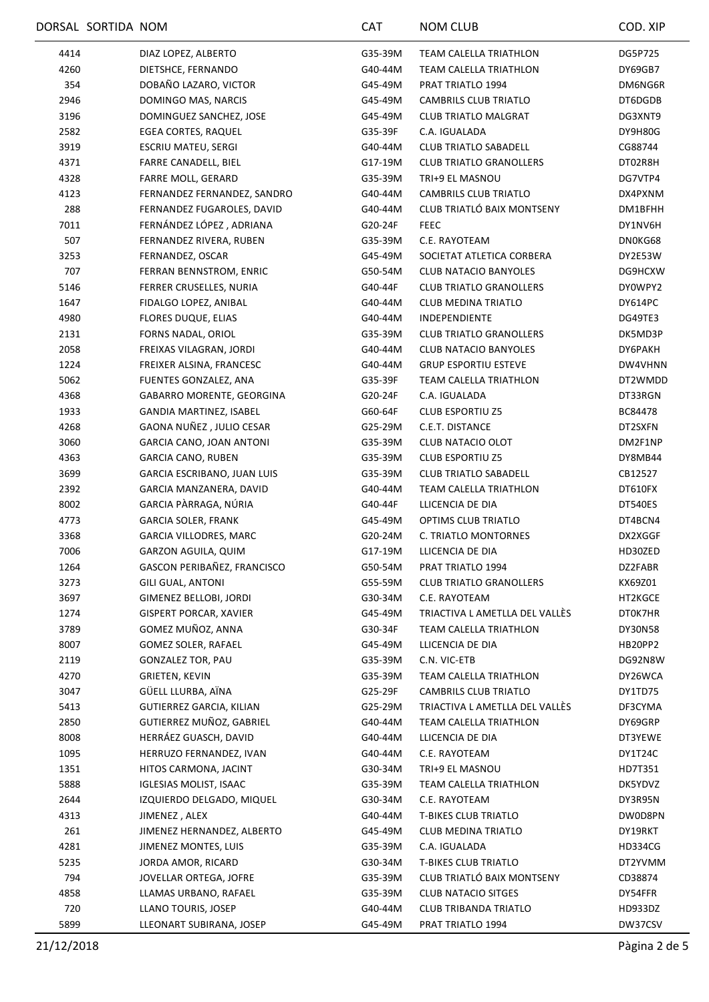|      | DORSAL SORTIDA NOM |                               | CAT     | <b>NOM CLUB</b>                | COD. XIP       |
|------|--------------------|-------------------------------|---------|--------------------------------|----------------|
| 4414 |                    | DIAZ LOPEZ, ALBERTO           | G35-39M | <b>TEAM CALELLA TRIATHLON</b>  | DG5P725        |
| 4260 |                    | DIETSHCE, FERNANDO            | G40-44M | TEAM CALELLA TRIATHLON         | DY69GB7        |
| 354  |                    | DOBAÑO LAZARO, VICTOR         | G45-49M | PRAT TRIATLO 1994              | DM6NG6R        |
| 2946 |                    | DOMINGO MAS, NARCIS           | G45-49M | CAMBRILS CLUB TRIATLO          | DT6DGDB        |
| 3196 |                    | DOMINGUEZ SANCHEZ, JOSE       | G45-49M | <b>CLUB TRIATLO MALGRAT</b>    | DG3XNT9        |
| 2582 |                    | <b>EGEA CORTES, RAQUEL</b>    | G35-39F | C.A. IGUALADA                  | DY9H80G        |
| 3919 |                    | ESCRIU MATEU, SERGI           | G40-44M | <b>CLUB TRIATLO SABADELL</b>   | CG88744        |
| 4371 |                    | FARRE CANADELL, BIEL          | G17-19M | <b>CLUB TRIATLO GRANOLLERS</b> | DT02R8H        |
| 4328 |                    | FARRE MOLL, GERARD            | G35-39M | TRI+9 EL MASNOU                | DG7VTP4        |
| 4123 |                    | FERNANDEZ FERNANDEZ, SANDRO   | G40-44M | CAMBRILS CLUB TRIATLO          | DX4PXNM        |
| 288  |                    | FERNANDEZ FUGAROLES, DAVID    | G40-44M | CLUB TRIATLÓ BAIX MONTSENY     | DM1BFHH        |
| 7011 |                    | FERNÁNDEZ LÓPEZ, ADRIANA      | G20-24F | <b>FEEC</b>                    | DY1NV6H        |
| 507  |                    | FERNANDEZ RIVERA, RUBEN       | G35-39M | C.E. RAYOTEAM                  | DN0KG68        |
| 3253 |                    | FERNANDEZ, OSCAR              | G45-49M | SOCIETAT ATLETICA CORBERA      | DY2E53W        |
| 707  |                    | FERRAN BENNSTROM, ENRIC       | G50-54M | CLUB NATACIO BANYOLES          | DG9HCXW        |
| 5146 |                    | FERRER CRUSELLES, NURIA       | G40-44F | <b>CLUB TRIATLO GRANOLLERS</b> | DY0WPY2        |
| 1647 |                    | FIDALGO LOPEZ, ANIBAL         | G40-44M | <b>CLUB MEDINA TRIATLO</b>     | DY614PC        |
| 4980 |                    | <b>FLORES DUQUE, ELIAS</b>    | G40-44M | INDEPENDIENTE                  | DG49TE3        |
| 2131 |                    | FORNS NADAL, ORIOL            | G35-39M | <b>CLUB TRIATLO GRANOLLERS</b> | DK5MD3P        |
| 2058 |                    | FREIXAS VILAGRAN, JORDI       | G40-44M | <b>CLUB NATACIO BANYOLES</b>   | DY6PAKH        |
| 1224 |                    | FREIXER ALSINA, FRANCESC      | G40-44M | <b>GRUP ESPORTIU ESTEVE</b>    | DW4VHNN        |
| 5062 |                    | FUENTES GONZALEZ, ANA         | G35-39F | TEAM CALELLA TRIATHLON         | DT2WMDD        |
| 4368 |                    | GABARRO MORENTE, GEORGINA     | G20-24F | C.A. IGUALADA                  | DT33RGN        |
| 1933 |                    | GANDIA MARTINEZ, ISABEL       | G60-64F | <b>CLUB ESPORTIU Z5</b>        | BC84478        |
| 4268 |                    | GAONA NUÑEZ, JULIO CESAR      | G25-29M | C.E.T. DISTANCE                | DT2SXFN        |
| 3060 |                    | GARCIA CANO, JOAN ANTONI      | G35-39M | CLUB NATACIO OLOT              | DM2F1NP        |
| 4363 |                    | <b>GARCIA CANO, RUBEN</b>     | G35-39M | <b>CLUB ESPORTIU Z5</b>        | DY8MB44        |
| 3699 |                    | GARCIA ESCRIBANO, JUAN LUIS   | G35-39M | <b>CLUB TRIATLO SABADELL</b>   | CB12527        |
| 2392 |                    | GARCIA MANZANERA, DAVID       | G40-44M | TEAM CALELLA TRIATHLON         | DT610FX        |
| 8002 |                    | GARCIA PÀRRAGA, NÚRIA         | G40-44F | LLICENCIA DE DIA               | DT540ES        |
| 4773 |                    | <b>GARCIA SOLER, FRANK</b>    | G45-49M | <b>OPTIMS CLUB TRIATLO</b>     | DT4BCN4        |
| 3368 |                    | GARCIA VILLODRES, MARC        | G20-24M | C. TRIATLO MONTORNES           | DX2XGGF        |
| 7006 |                    | GARZON AGUILA, QUIM           | G17-19M | LLICENCIA DE DIA               | HD30ZED        |
| 1264 |                    | GASCON PERIBAÑEZ, FRANCISCO   | G50-54M | PRAT TRIATLO 1994              | DZ2FABR        |
| 3273 |                    | <b>GILI GUAL, ANTONI</b>      | G55-59M | <b>CLUB TRIATLO GRANOLLERS</b> | KX69Z01        |
| 3697 |                    | GIMENEZ BELLOBI, JORDI        | G30-34M | C.E. RAYOTEAM                  | HT2KGCE        |
| 1274 |                    | <b>GISPERT PORCAR, XAVIER</b> | G45-49M | TRIACTIVA L AMETLLA DEL VALLÈS | DT0K7HR        |
| 3789 |                    | GOMEZ MUÑOZ, ANNA             | G30-34F | TEAM CALELLA TRIATHLON         | DY30N58        |
| 8007 |                    | GOMEZ SOLER, RAFAEL           | G45-49M | LLICENCIA DE DIA               | HB20PP2        |
| 2119 |                    | <b>GONZALEZ TOR, PAU</b>      | G35-39M | C.N. VIC-ETB                   | DG92N8W        |
| 4270 |                    | <b>GRIETEN, KEVIN</b>         | G35-39M | TEAM CALELLA TRIATHLON         | DY26WCA        |
| 3047 |                    | GÜELL LLURBA, AÏNA            | G25-29F | CAMBRILS CLUB TRIATLO          | DY1TD75        |
| 5413 |                    | GUTIERREZ GARCIA, KILIAN      | G25-29M | TRIACTIVA L AMETLLA DEL VALLÈS | DF3CYMA        |
| 2850 |                    | GUTIERREZ MUÑOZ, GABRIEL      | G40-44M | TEAM CALELLA TRIATHLON         | DY69GRP        |
| 8008 |                    | HERRÁEZ GUASCH, DAVID         | G40-44M | LLICENCIA DE DIA               | DT3YEWE        |
| 1095 |                    | HERRUZO FERNANDEZ, IVAN       | G40-44M | C.E. RAYOTEAM                  | DY1T24C        |
| 1351 |                    | HITOS CARMONA, JACINT         | G30-34M | TRI+9 EL MASNOU                | HD7T351        |
| 5888 |                    | <b>IGLESIAS MOLIST, ISAAC</b> | G35-39M | TEAM CALELLA TRIATHLON         | DK5YDVZ        |
| 2644 |                    | IZQUIERDO DELGADO, MIQUEL     | G30-34M | C.E. RAYOTEAM                  | DY3R95N        |
| 4313 |                    | JIMENEZ, ALEX                 | G40-44M | <b>T-BIKES CLUB TRIATLO</b>    | DW0D8PN        |
| 261  |                    | JIMENEZ HERNANDEZ, ALBERTO    | G45-49M | CLUB MEDINA TRIATLO            | DY19RKT        |
| 4281 |                    | JIMENEZ MONTES, LUIS          | G35-39M | C.A. IGUALADA                  | <b>HD334CG</b> |
| 5235 |                    | JORDA AMOR, RICARD            | G30-34M | <b>T-BIKES CLUB TRIATLO</b>    | DT2YVMM        |
| 794  |                    | JOVELLAR ORTEGA, JOFRE        | G35-39M | CLUB TRIATLÓ BAIX MONTSENY     | CD38874        |
| 4858 |                    | LLAMAS URBANO, RAFAEL         | G35-39M | <b>CLUB NATACIO SITGES</b>     | DY54FFR        |
| 720  |                    | LLANO TOURIS, JOSEP           | G40-44M | <b>CLUB TRIBANDA TRIATLO</b>   | HD933DZ        |
| 5899 |                    | LLEONART SUBIRANA, JOSEP      | G45-49M | PRAT TRIATLO 1994              | DW37CSV        |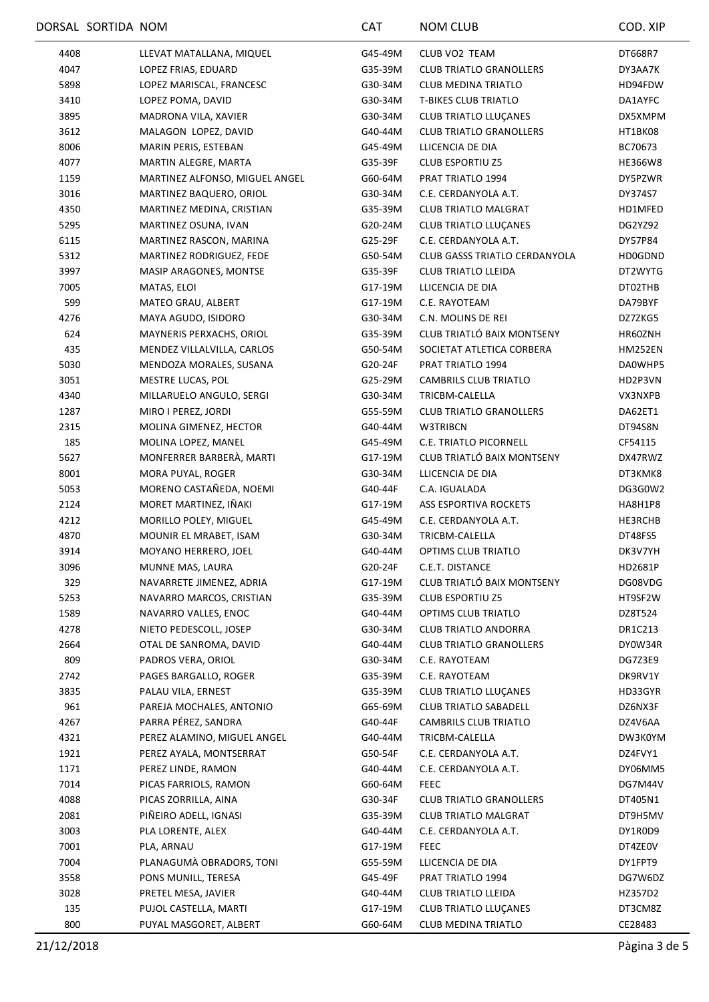|      | DORSAL SORTIDA NOM |                                | CAT     | <b>NOM CLUB</b>                      | COD. XIP       |
|------|--------------------|--------------------------------|---------|--------------------------------------|----------------|
| 4408 |                    | LLEVAT MATALLANA, MIQUEL       | G45-49M | CLUB VO2 TEAM                        | DT668R7        |
| 4047 |                    | LOPEZ FRIAS, EDUARD            | G35-39M | <b>CLUB TRIATLO GRANOLLERS</b>       | DY3AA7K        |
| 5898 |                    | LOPEZ MARISCAL, FRANCESC       | G30-34M | <b>CLUB MEDINA TRIATLO</b>           | HD94FDW        |
| 3410 |                    | LOPEZ POMA, DAVID              | G30-34M | <b>T-BIKES CLUB TRIATLO</b>          | DA1AYFC        |
| 3895 |                    | MADRONA VILA, XAVIER           | G30-34M | <b>CLUB TRIATLO LLUÇANES</b>         | DX5XMPM        |
| 3612 |                    | MALAGON LOPEZ, DAVID           | G40-44M | <b>CLUB TRIATLO GRANOLLERS</b>       | HT1BK08        |
| 8006 |                    | MARIN PERIS, ESTEBAN           | G45-49M | LLICENCIA DE DIA                     | BC70673        |
| 4077 |                    | MARTIN ALEGRE, MARTA           | G35-39F | <b>CLUB ESPORTIU Z5</b>              | <b>HE366W8</b> |
| 1159 |                    | MARTINEZ ALFONSO, MIGUEL ANGEL | G60-64M | PRAT TRIATLO 1994                    | DY5PZWR        |
| 3016 |                    | MARTINEZ BAQUERO, ORIOL        | G30-34M | C.E. CERDANYOLA A.T.                 | DY374S7        |
| 4350 |                    | MARTINEZ MEDINA, CRISTIAN      | G35-39M | <b>CLUB TRIATLO MALGRAT</b>          | HD1MFED        |
| 5295 |                    | MARTINEZ OSUNA, IVAN           | G20-24M | <b>CLUB TRIATLO LLUÇANES</b>         | DG2YZ92        |
| 6115 |                    | MARTINEZ RASCON, MARINA        | G25-29F | C.E. CERDANYOLA A.T.                 | DY57P84        |
| 5312 |                    | MARTINEZ RODRIGUEZ, FEDE       | G50-54M | <b>CLUB GASSS TRIATLO CERDANYOLA</b> | <b>HD0GDND</b> |
| 3997 |                    | MASIP ARAGONES, MONTSE         | G35-39F | <b>CLUB TRIATLO LLEIDA</b>           | DT2WYTG        |
| 7005 |                    | MATAS, ELOI                    | G17-19M | LLICENCIA DE DIA                     | DT02THB        |
| 599  |                    | MATEO GRAU, ALBERT             | G17-19M | C.E. RAYOTEAM                        | DA79BYF        |
| 4276 |                    | MAYA AGUDO, ISIDORO            | G30-34M | C.N. MOLINS DE REI                   | DZ7ZKG5        |
| 624  |                    | MAYNERIS PERXACHS, ORIOL       | G35-39M | CLUB TRIATLÓ BAIX MONTSENY           | HR60ZNH        |
| 435  |                    | MENDEZ VILLALVILLA, CARLOS     | G50-54M | SOCIETAT ATLETICA CORBERA            | HM252EN        |
| 5030 |                    | MENDOZA MORALES, SUSANA        | G20-24F | PRAT TRIATLO 1994                    | DA0WHP5        |
| 3051 |                    | MESTRE LUCAS, POL              | G25-29M | CAMBRILS CLUB TRIATLO                | HD2P3VN        |
| 4340 |                    | MILLARUELO ANGULO, SERGI       | G30-34M | TRICBM-CALELLA                       | VX3NXPB        |
| 1287 |                    | MIRO I PEREZ, JORDI            | G55-59M | <b>CLUB TRIATLO GRANOLLERS</b>       | DA62ET1        |
| 2315 |                    | MOLINA GIMENEZ, HECTOR         | G40-44M | W3TRIBCN                             | DT94S8N        |
| 185  |                    | MOLINA LOPEZ, MANEL            | G45-49M | C.E. TRIATLO PICORNELL               | CF54115        |
| 5627 |                    | MONFERRER BARBERÀ, MARTI       | G17-19M | CLUB TRIATLÓ BAIX MONTSENY           | DX47RWZ        |
| 8001 |                    | MORA PUYAL, ROGER              | G30-34M | LLICENCIA DE DIA                     | DT3KMK8        |
| 5053 |                    | MORENO CASTAÑEDA, NOEMI        | G40-44F | C.A. IGUALADA                        | DG3G0W2        |
| 2124 |                    | MORET MARTINEZ, IÑAKI          | G17-19M | ASS ESPORTIVA ROCKETS                | HA8H1P8        |
| 4212 |                    | MORILLO POLEY, MIGUEL          | G45-49M | C.E. CERDANYOLA A.T.                 | HE3RCHB        |
| 4870 |                    | MOUNIR EL MRABET, ISAM         | G30-34M | TRICBM-CALELLA                       | DT48FS5        |
| 3914 |                    | MOYANO HERRERO, JOEL           | G40-44M | <b>OPTIMS CLUB TRIATLO</b>           | DK3V7YH        |
| 3096 |                    | MUNNE MAS, LAURA               | G20-24F | C.E.T. DISTANCE                      | HD2681P        |
| 329  |                    | NAVARRETE JIMENEZ, ADRIA       | G17-19M | CLUB TRIATLÓ BAIX MONTSENY           | DG08VDG        |
| 5253 |                    | NAVARRO MARCOS, CRISTIAN       | G35-39M | CLUB ESPORTIU Z5                     | HT9SF2W        |
| 1589 |                    | NAVARRO VALLES, ENOC           | G40-44M | OPTIMS CLUB TRIATLO                  | DZ8T524        |
| 4278 |                    | NIETO PEDESCOLL, JOSEP         | G30-34M | CLUB TRIATLO ANDORRA                 | DR1C213        |
| 2664 |                    | OTAL DE SANROMA, DAVID         | G40-44M | <b>CLUB TRIATLO GRANOLLERS</b>       | DY0W34R        |
| 809  |                    | PADROS VERA, ORIOL             | G30-34M | C.E. RAYOTEAM                        | DG7Z3E9        |
| 2742 |                    | PAGES BARGALLO, ROGER          | G35-39M | C.E. RAYOTEAM                        | DK9RV1Y        |
| 3835 |                    | PALAU VILA, ERNEST             | G35-39M | <b>CLUB TRIATLO LLUÇANES</b>         | HD33GYR        |
| 961  |                    | PAREJA MOCHALES, ANTONIO       | G65-69M | <b>CLUB TRIATLO SABADELL</b>         | DZ6NX3F        |
| 4267 |                    | PARRA PÉREZ, SANDRA            | G40-44F | CAMBRILS CLUB TRIATLO                | DZ4V6AA        |
| 4321 |                    | PEREZ ALAMINO, MIGUEL ANGEL    | G40-44M | TRICBM-CALELLA                       | DW3K0YM        |
| 1921 |                    | PEREZ AYALA, MONTSERRAT        | G50-54F | C.E. CERDANYOLA A.T.                 | DZ4FVY1        |
| 1171 |                    | PEREZ LINDE, RAMON             | G40-44M | C.E. CERDANYOLA A.T.                 | DY06MM5        |
| 7014 |                    | PICAS FARRIOLS, RAMON          | G60-64M | <b>FEEC</b>                          | DG7M44V        |
| 4088 |                    | PICAS ZORRILLA, AINA           | G30-34F | <b>CLUB TRIATLO GRANOLLERS</b>       | DT405N1        |
| 2081 |                    | PIÑEIRO ADELL, IGNASI          | G35-39M | <b>CLUB TRIATLO MALGRAT</b>          | DT9H5MV        |
| 3003 |                    | PLA LORENTE, ALEX              | G40-44M | C.E. CERDANYOLA A.T.                 | DY1R0D9        |
| 7001 |                    | PLA, ARNAU                     | G17-19M | <b>FEEC</b>                          | DT4ZE0V        |
| 7004 |                    | PLANAGUMA OBRADORS, TONI       | G55-59M | LLICENCIA DE DIA                     | DY1FPT9        |
| 3558 |                    | PONS MUNILL, TERESA            | G45-49F | PRAT TRIATLO 1994                    | DG7W6DZ        |
| 3028 |                    | PRETEL MESA, JAVIER            | G40-44M | CLUB TRIATLO LLEIDA                  | HZ357D2        |
| 135  |                    | PUJOL CASTELLA, MARTI          | G17-19M | CLUB TRIATLO LLUÇANES                | DT3CM8Z        |
| 800  |                    | PUYAL MASGORET, ALBERT         | G60-64M | CLUB MEDINA TRIATLO                  | CE28483        |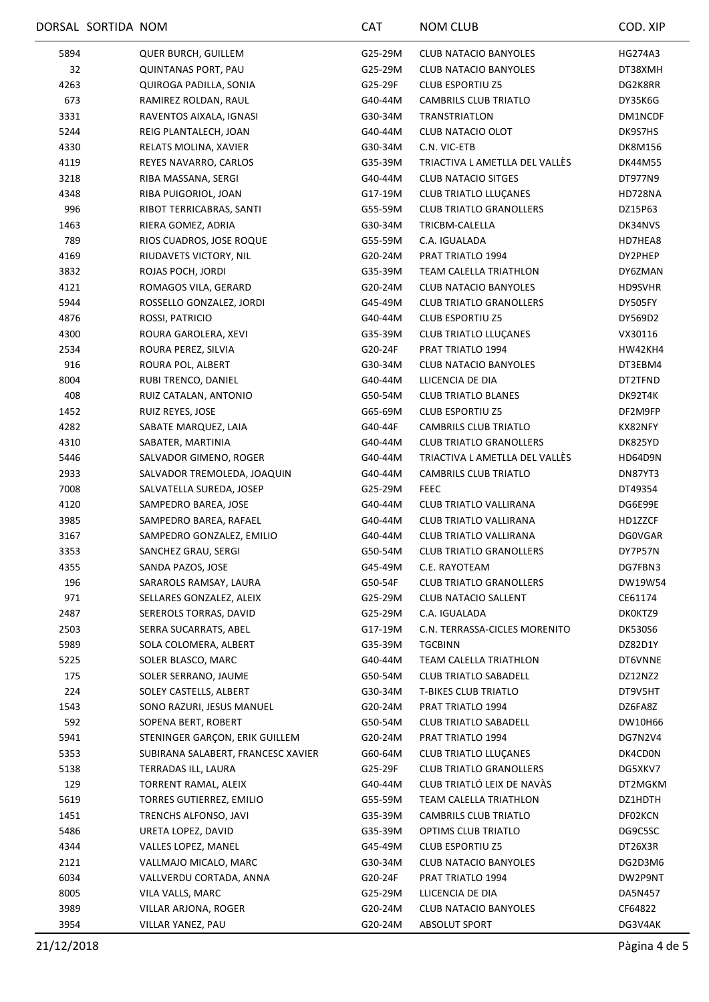|      | DORSAL SORTIDA NOM                 | CAT     | <b>NOM CLUB</b>                | COD. XIP       |
|------|------------------------------------|---------|--------------------------------|----------------|
| 5894 | QUER BURCH, GUILLEM                | G25-29M | CLUB NATACIO BANYOLES          | HG274A3        |
| 32   | <b>QUINTANAS PORT, PAU</b>         | G25-29M | <b>CLUB NATACIO BANYOLES</b>   | DT38XMH        |
| 4263 | QUIROGA PADILLA, SONIA             | G25-29F | <b>CLUB ESPORTIU Z5</b>        | DG2K8RR        |
| 673  | RAMIREZ ROLDAN, RAUL               | G40-44M | CAMBRILS CLUB TRIATLO          | DY35K6G        |
| 3331 | RAVENTOS AIXALA, IGNASI            | G30-34M | <b>TRANSTRIATLON</b>           | DM1NCDF        |
| 5244 | REIG PLANTALECH, JOAN              | G40-44M | CLUB NATACIO OLOT              | DK9S7HS        |
| 4330 | RELATS MOLINA, XAVIER              | G30-34M | C.N. VIC-ETB                   | <b>DK8M156</b> |
| 4119 | REYES NAVARRO, CARLOS              | G35-39M | TRIACTIVA L AMETLLA DEL VALLÈS | DK44M55        |
| 3218 | RIBA MASSANA, SERGI                | G40-44M | <b>CLUB NATACIO SITGES</b>     | DT977N9        |
| 4348 | RIBA PUIGORIOL, JOAN               | G17-19M | CLUB TRIATLO LLUÇANES          | HD728NA        |
| 996  | RIBOT TERRICABRAS, SANTI           | G55-59M | <b>CLUB TRIATLO GRANOLLERS</b> | DZ15P63        |
| 1463 | RIERA GOMEZ, ADRIA                 | G30-34M | TRICBM-CALELLA                 | DK34NVS        |
| 789  | RIOS CUADROS, JOSE ROQUE           | G55-59M | C.A. IGUALADA                  | HD7HEA8        |
| 4169 | RIUDAVETS VICTORY, NIL             | G20-24M | PRAT TRIATLO 1994              | DY2PHEP        |
| 3832 | ROJAS POCH, JORDI                  | G35-39M | TEAM CALELLA TRIATHLON         | DY6ZMAN        |
| 4121 | ROMAGOS VILA, GERARD               | G20-24M | <b>CLUB NATACIO BANYOLES</b>   | HD9SVHR        |
| 5944 | ROSSELLO GONZALEZ, JORDI           | G45-49M | <b>CLUB TRIATLO GRANOLLERS</b> | DY505FY        |
| 4876 | ROSSI, PATRICIO                    | G40-44M | <b>CLUB ESPORTIU Z5</b>        | DY569D2        |
| 4300 | ROURA GAROLERA, XEVI               | G35-39M | CLUB TRIATLO LLUÇANES          | VX30116        |
| 2534 | ROURA PEREZ, SILVIA                | G20-24F | PRAT TRIATLO 1994              | HW42KH4        |
| 916  | ROURA POL, ALBERT                  | G30-34M | <b>CLUB NATACIO BANYOLES</b>   | DT3EBM4        |
| 8004 | RUBI TRENCO, DANIEL                | G40-44M | LLICENCIA DE DIA               | DT2TFND        |
| 408  | RUIZ CATALAN, ANTONIO              | G50-54M | <b>CLUB TRIATLO BLANES</b>     | DK92T4K        |
| 1452 | RUIZ REYES, JOSE                   | G65-69M | <b>CLUB ESPORTIU Z5</b>        | DF2M9FP        |
| 4282 | SABATE MARQUEZ, LAIA               | G40-44F | <b>CAMBRILS CLUB TRIATLO</b>   | KX82NFY        |
| 4310 | SABATER, MARTINIA                  | G40-44M | <b>CLUB TRIATLO GRANOLLERS</b> | DK825YD        |
| 5446 | SALVADOR GIMENO, ROGER             | G40-44M | TRIACTIVA L AMETLLA DEL VALLES | HD64D9N        |
| 2933 | SALVADOR TREMOLEDA, JOAQUIN        | G40-44M | <b>CAMBRILS CLUB TRIATLO</b>   | DN87YT3        |
| 7008 | SALVATELLA SUREDA, JOSEP           | G25-29M | <b>FEEC</b>                    | DT49354        |
| 4120 | SAMPEDRO BAREA, JOSE               | G40-44M | CLUB TRIATLO VALLIRANA         | DG6E99E        |
| 3985 | SAMPEDRO BAREA, RAFAEL             | G40-44M | CLUB TRIATLO VALLIRANA         | HD1ZZCF        |
| 3167 | SAMPEDRO GONZALEZ, EMILIO          | G40-44M | CLUB TRIATLO VALLIRANA         | <b>DG0VGAR</b> |
| 3353 | SANCHEZ GRAU, SERGI                | G50-54M | <b>CLUB TRIATLO GRANOLLERS</b> | DY7P57N        |
| 4355 | SANDA PAZOS, JOSE                  | G45-49M | C.E. RAYOTEAM                  | DG7FBN3        |
| 196  | SARAROLS RAMSAY, LAURA             | G50-54F | <b>CLUB TRIATLO GRANOLLERS</b> | DW19W54        |
| 971  | SELLARES GONZALEZ, ALEIX           | G25-29M | <b>CLUB NATACIO SALLENT</b>    | CE61174        |
| 2487 | SEREROLS TORRAS, DAVID             | G25-29M | C.A. IGUALADA                  | DK0KTZ9        |
| 2503 | SERRA SUCARRATS, ABEL              | G17-19M | C.N. TERRASSA-CICLES MORENITO  | DK530S6        |
| 5989 | SOLA COLOMERA, ALBERT              | G35-39M | TGCBINN                        | DZ82D1Y        |
| 5225 | SOLER BLASCO, MARC                 | G40-44M | TEAM CALELLA TRIATHLON         | DT6VNNE        |
| 175  | SOLER SERRANO, JAUME               | G50-54M | <b>CLUB TRIATLO SABADELL</b>   | DZ12NZ2        |
| 224  | SOLEY CASTELLS, ALBERT             | G30-34M | <b>T-BIKES CLUB TRIATLO</b>    | DT9V5HT        |
| 1543 | SONO RAZURI, JESUS MANUEL          | G20-24M | PRAT TRIATLO 1994              | DZ6FA8Z        |
| 592  | SOPENA BERT, ROBERT                | G50-54M | CLUB TRIATLO SABADELL          | DW10H66        |
| 5941 | STENINGER GARÇON, ERIK GUILLEM     | G20-24M | PRAT TRIATLO 1994              | DG7N2V4        |
| 5353 | SUBIRANA SALABERT, FRANCESC XAVIER | G60-64M | <b>CLUB TRIATLO LLUÇANES</b>   | DK4CD0N        |
| 5138 | TERRADAS ILL, LAURA                | G25-29F | <b>CLUB TRIATLO GRANOLLERS</b> | DG5XKV7        |
| 129  | TORRENT RAMAL, ALEIX               | G40-44M | CLUB TRIATLÓ LEIX DE NAVÀS     | DT2MGKM        |
| 5619 | <b>TORRES GUTIERREZ, EMILIO</b>    | G55-59M | TEAM CALELLA TRIATHLON         | DZ1HDTH        |
| 1451 | TRENCHS ALFONSO, JAVI              | G35-39M | CAMBRILS CLUB TRIATLO          | DF02KCN        |
| 5486 | URETA LOPEZ, DAVID                 | G35-39M | OPTIMS CLUB TRIATLO            | DG9C5SC        |
| 4344 | VALLES LOPEZ, MANEL                | G45-49M | <b>CLUB ESPORTIU Z5</b>        | DT26X3R        |
| 2121 | VALLMAJO MICALO, MARC              | G30-34M | <b>CLUB NATACIO BANYOLES</b>   | DG2D3M6        |
| 6034 | VALLVERDU CORTADA, ANNA            | G20-24F | PRAT TRIATLO 1994              | DW2P9NT        |
| 8005 | VILA VALLS, MARC                   | G25-29M | LLICENCIA DE DIA               | DA5N457        |
| 3989 | VILLAR ARJONA, ROGER               | G20-24M | <b>CLUB NATACIO BANYOLES</b>   | CF64822        |
| 3954 | VILLAR YANEZ, PAU                  | G20-24M | ABSOLUT SPORT                  | DG3V4AK        |
|      |                                    |         |                                |                |